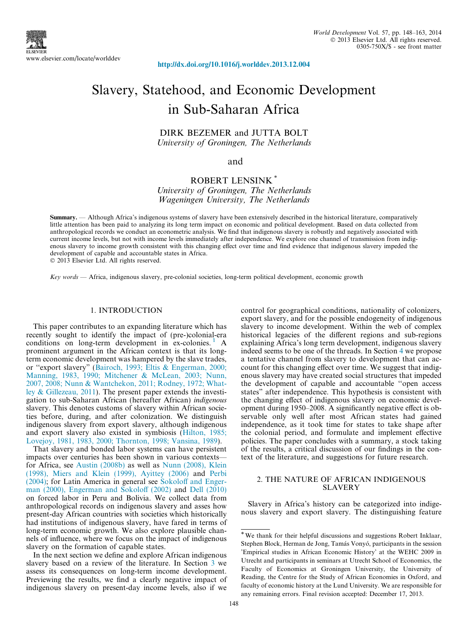

<http://dx.doi.org/10.1016/j.worlddev.2013.12.004>

# Slavery, Statehood, and Economic Development in Sub-Saharan Africa

DIRK BEZEMER and JUTTA BOLT University of Groningen, The Netherlands

#### and

### ROBERT LENSINK \* University of Groningen, The Netherlands Wageningen University, The Netherlands

Summary. — Although Africa's indigenous systems of slavery have been extensively described in the historical literature, comparatively little attention has been paid to analyzing its long term impact on economic and political development. Based on data collected from anthropological records we conduct an econometric analysis. We find that indigenous slavery is robustly and negatively associated with current income levels, but not with income levels immediately after independence. We explore one channel of transmission from indigenous slavery to income growth consistent with this changing effect over time and find evidence that indigenous slavery impeded the development of capable and accountable states in Africa.

- 2013 Elsevier Ltd. All rights reserved.

 $Key words$  — Africa, indigenous slavery, pre-colonial societies, long-term political development, economic growth

#### 1. INTRODUCTION

This paper contributes to an expanding literature which has recently sought to identify the impact of (pre-)colonial-era conditions on long-term development in ex-colonies.<sup>1</sup> A prominent argument in the African context is that its longterm economic development was hampered by the slave trades, or ''export slavery" [\(Bairoch, 1993; Eltis & Engerman, 2000;](#page--1-0) [Manning, 1983, 1990; Mitchener & McLean, 2003; Nunn,](#page--1-0) [2007, 2008; Nunn & Wantchekon, 2011; Rodney, 1972; What](#page--1-0)[ley & Gillezeau, 2011\)](#page--1-0). The present paper extends the investigation to sub-Saharan African (hereafter African) indigenous slavery. This denotes customs of slavery within African societies before, during, and after colonization. We distinguish indigenous slavery from export slavery, although indigenous and export slavery also existed in symbiosis ([Hilton, 1985;](#page--1-0) [Lovejoy, 1981, 1983, 2000; Thornton, 1998; Vansina, 1989](#page--1-0)).

That slavery and bonded labor systems can have persistent impacts over centuries has been shown in various contexts for Africa, see [Austin \(2008b\)](#page--1-0) as well as [Nunn \(2008\), Klein](#page--1-0) [\(1998\), Miers and Klein \(1999\), Ayittey \(2006\)](#page--1-0) and [Perbi](#page--1-0) [\(2004\);](#page--1-0) for Latin America in general see [Sokoloff and Enger](#page--1-0)[man \(2000\), Engerman and Sokoloff \(2002\)](#page--1-0) and [Dell \(2010\)](#page--1-0) on forced labor in Peru and Bolivia. We collect data from anthropological records on indigenous slavery and asses how present-day African countries with societies which historically had institutions of indigenous slavery, have fared in terms of long-term economic growth. We also explore plausible channels of influence, where we focus on the impact of indigenous slavery on the formation of capable states.

In the next section we define and explore African indigenous slavery based on a review of the literature. In Section 3 we assess its consequences on long-term income development. Previewing the results, we find a clearly negative impact of indigenous slavery on present-day income levels, also if we control for geographical conditions, nationality of colonizers, export slavery, and for the possible endogeneity of indigenous slavery to income development. Within the web of complex historical legacies of the different regions and sub-regions explaining Africa's long term development, indigenous slavery indeed seems to be one of the threads. In Section 4 we propose a tentative channel from slavery to development that can account for this changing effect over time. We suggest that indigenous slavery may have created social structures that impeded the development of capable and accountable ''open access states" after independence. This hypothesis is consistent with the changing effect of indigenous slavery on economic development during 1950–2008. A significantly negative effect is observable only well after most African states had gained independence, as it took time for states to take shape after the colonial period, and formulate and implement effective policies. The paper concludes with a summary, a stock taking of the results, a critical discussion of our findings in the context of the literature, and suggestions for future research.

#### 2. THE NATURE OF AFRICAN INDIGENOUS SLAVERY

Slavery in Africa's history can be categorized into indigenous slavery and export slavery. The distinguishing feature

<sup>\*</sup>We thank for their helpful discussions and suggestions Robert Inklaar, Stephen Block, Herman de Jong, Tamás Vonyó, participants in the session 'Empirical studies in African Economic History' at the WEHC 2009 in Utrecht and participants in seminars at Utrecht School of Economics, the Faculty of Economics at Groningen University, the University of Reading, the Centre for the Study of African Economies in Oxford, and faculty of economic history at the Lund University. We are responsible for any remaining errors. Final revision accepted: December 17, 2013.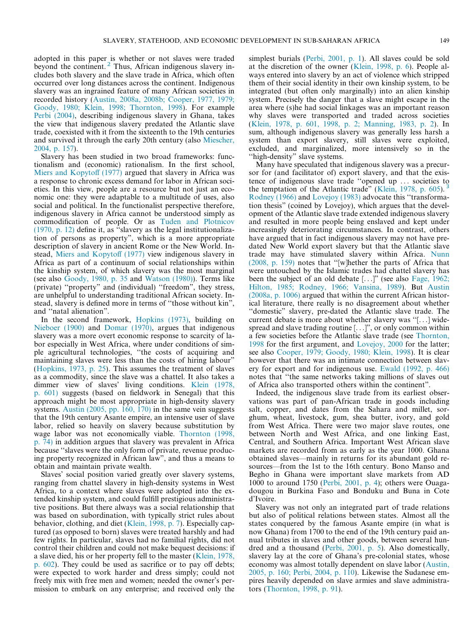adopted in this paper is whether or not slaves were traded beyond the continent.<sup>2</sup> Thus, African indigenous slavery includes both slavery and the slave trade in Africa, which often occurred over long distances across the continent. Indigenous slavery was an ingrained feature of many African societies in recorded history ([Austin, 2008a, 2008b; Cooper, 1977, 1979;](#page--1-0) [Goody, 1980; Klein, 1998; Thornton, 1998\)](#page--1-0). For example [Perbi \(2004\)](#page--1-0), describing indigenous slavery in Ghana, takes the view that indigenous slavery predated the Atlantic slave trade, coexisted with it from the sixteenth to the 19th centuries and survived it through the early 20th century (also [Miescher,](#page--1-0) [2004, p. 157](#page--1-0)).

Slavery has been studied in two broad frameworks: functionalism and (economic) rationalism. In the first school, [Miers and Kopytoff \(1977\)](#page--1-0) argued that slavery in Africa was a response to chronic excess demand for labor in African societies. In this view, people are a resource but not just an economic one: they were adaptable to a multitude of uses, also social and political. In the functionalist perspective therefore, indigenous slavery in Africa cannot be understood simply as commodification of people. Or as [Tuden and Plotnicov](#page--1-0) [\(1970, p. 12\)](#page--1-0) define it, as ''slavery as the legal institutionalization of persons as property", which is a more appropriate description of slavery in ancient Rome or the New World. Instead, [Miers and Kopytoff \(1977\)](#page--1-0) view indigenous slavery in Africa as part of a continuum of social relationships within the kinship system, of which slavery was the most marginal (see also [Goody, 1980, p. 35](#page--1-0) and [Watson \(1980\)](#page--1-0)). Terms like (private) ''property" and (individual) ''freedom", they stress, are unhelpful to understanding traditional African society. Instead, slavery is defined more in terms of ''those without kin", and ''natal alienation".

In the second framework, [Hopkins \(1973\),](#page--1-0) building on [Nieboer \(1900\)](#page--1-0) and [Domar \(1970\),](#page--1-0) argues that indigenous slavery was a more overt economic response to scarcity of labor especially in West Africa, where under conditions of simple agricultural technologies, ''the costs of acquiring and maintaining slaves were less than the costs of hiring labour" ([Hopkins, 1973, p. 25](#page--1-0)). This assumes the treatment of slaves as a commodity, since the slave was a chattel. It also takes a dimmer view of slaves' living conditions. [Klein \(1978,](#page--1-0) [p. 601\)](#page--1-0) suggests (based on fieldwork in Senegal) that this approach might be most appropriate in high-density slavery systems. [Austin \(2005, pp. 160, 170\)](#page--1-0) in the same vein suggests that the 19th century Asante empire, an intensive user of slave labor, relied so heavily on slavery because substitution by wage labor was not economically viable. [Thornton \(1998,](#page--1-0) [p. 74\)](#page--1-0) in addition argues that slavery was prevalent in Africa because ''slaves were the only form of private, revenue producing property recognized in African law", and thus a means to obtain and maintain private wealth.

Slaves' social position varied greatly over slavery systems, ranging from chattel slavery in high-density systems in West Africa, to a context where slaves were adopted into the extended kinship system, and could fulfill prestigious administrative positions. But there always was a social relationship that was based on subordination, with typically strict rules about behavior, clothing, and diet [\(Klein, 1998, p. 7](#page--1-0)). Especially captured (as opposed to born) slaves were treated harshly and had few rights. In particular, slaves had no familial rights, did not control their children and could not make bequest decisions: if a slave died, his or her property fell to the master ([Klein, 1978,](#page--1-0) [p. 602](#page--1-0)). They could be used as sacrifice or to pay off debts; were expected to work harder and dress simply; could not freely mix with free men and women; needed the owner's permission to embark on any enterprise; and received only the

simplest burials ([Perbi, 2001, p. 1\)](#page--1-0). All slaves could be sold at the discretion of the owner [\(Klein, 1998, p. 6](#page--1-0)). People always entered into slavery by an act of violence which stripped them of their social identity in their own kinship system, to be integrated (but often only marginally) into an alien kinship system. Precisely the danger that a slave might escape in the area where (s)he had social linkages was an important reason why slaves were transported and traded across societies ([Klein, 1978, p. 601, 1998, p. 2; Manning, 1983, p. 2](#page--1-0)). In sum, although indigenous slavery was generally less harsh a system than export slavery, still slaves were exploited, excluded, and marginalized, more intensively so in the "high-density" slave systems.

Many have speculated that indigenous slavery was a precursor for (and facilitator of) export slavery, and that the existence of indigenous slave trade ''opened up ... societies to the temptation of the Atlantic trade" [\(Klein, 1978, p. 605](#page--1-0)). [Rodney \(1966\)](#page--1-0) and [Lovejoy \(1983\)](#page--1-0) advocate this ''transformation thesis" (coined by Lovejoy), which argues that the development of the Atlantic slave trade extended indigenous slavery and resulted in more people being enslaved and kept under increasingly deteriorating circumstances. In contrast, others have argued that in fact indigenous slavery may not have predated New World export slavery but that the Atlantic slave trade may have stimulated slavery within Africa. [Nunn](#page--1-0) [\(2008, p. 159\)](#page--1-0) notes that ''[w]hether the parts of Africa that were untouched by the Islamic trades had chattel slavery has been the subject of an old debate [...]" (see also [Fage, 1962;](#page--1-0) [Hilton, 1985; Rodney, 1966; Vansina, 1989\)](#page--1-0). But [Austin](#page--1-0) [\(2008a, p. 1006\)](#page--1-0) argued that within the current African historical literature, there really is no disagreement about whether ''domestic" slavery, pre-dated the Atlantic slave trade. The current debate is more about whether slavery was ''[...] widespread and slave trading routine [...]", or only common within a few societies before the Atlantic slave trade (see [Thornton,](#page--1-0) [1998](#page--1-0) for the first argument, and [Lovejoy, 2000](#page--1-0) for the latter; see also [Cooper, 1979; Goody, 1980; Klein, 1998](#page--1-0)). It is clear however that there was an intimate connection between slavery for export and for indigenous use. [Ewald \(1992, p. 466\)](#page--1-0) notes that ''the same networks taking millions of slaves out of Africa also transported others within the continent".

Indeed, the indigenous slave trade from its earliest observations was part of pan-African trade in goods including salt, copper, and dates from the Sahara and millet, sorghum, wheat, livestock, gum, shea butter, ivory, and gold from West Africa. There were two major slave routes, one between North and West Africa, and one linking East, Central, and Southern Africa. Important West African slave markets are recorded from as early as the year 1000. Ghana obtained slaves—mainly in returns for its abundant gold resources—from the 1st to the 16th century. Bono Manso and Begho in Ghana were important slave markets from AD 1000 to around 1750 [\(Perbi, 2001, p. 4\)](#page--1-0); others were Ouagadougou in Burkina Faso and Bonduku and Buna in Cote d'Ivoire.

Slavery was not only an integrated part of trade relations but also of political relations between states. Almost all the states conquered by the famous Asante empire (in what is now Ghana) from 1700 to the end of the 19th century paid annual tributes in slaves and other goods, between several hundred and a thousand ([Perbi, 2001, p. 5\)](#page--1-0). Also domestically, slavery lay at the core of Ghana's pre-colonial states, whose economy was almost totally dependent on slave labor ([Austin,](#page--1-0) [2005, p. 160; Perbi, 2004, p. 110\)](#page--1-0). Likewise the Sudanese empires heavily depended on slave armies and slave administrators [\(Thornton, 1998, p. 91](#page--1-0)).